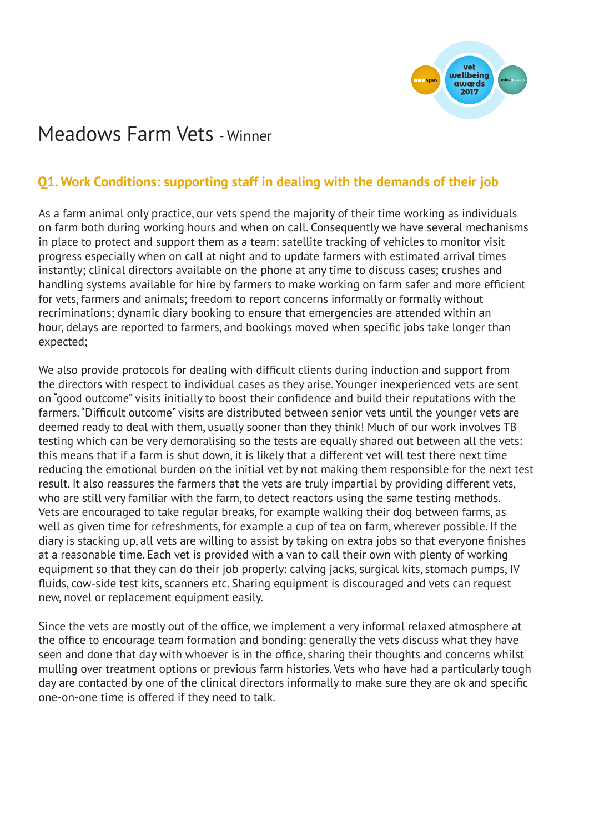

# Meadows Farm Vets - Winner

## **Q1. Work Conditions: supporting staff in dealing with the demands of their job**

As a farm animal only practice, our vets spend the majority of their time working as individuals on farm both during working hours and when on call. Consequently we have several mechanisms in place to protect and support them as a team: satellite tracking of vehicles to monitor visit progress especially when on call at night and to update farmers with estimated arrival times instantly; clinical directors available on the phone at any time to discuss cases; crushes and handling systems available for hire by farmers to make working on farm safer and more efficient for vets, farmers and animals; freedom to report concerns informally or formally without recriminations; dynamic diary booking to ensure that emergencies are attended within an hour, delays are reported to farmers, and bookings moved when specific jobs take longer than expected;

We also provide protocols for dealing with difficult clients during induction and support from the directors with respect to individual cases as they arise. Younger inexperienced vets are sent on "good outcome" visits initially to boost their confidence and build their reputations with the farmers. "Difficult outcome" visits are distributed between senior vets until the younger vets are deemed ready to deal with them, usually sooner than they think! Much of our work involves TB testing which can be very demoralising so the tests are equally shared out between all the vets: this means that if a farm is shut down, it is likely that a different vet will test there next time reducing the emotional burden on the initial vet by not making them responsible for the next test result. It also reassures the farmers that the vets are truly impartial by providing different vets, who are still very familiar with the farm, to detect reactors using the same testing methods. Vets are encouraged to take regular breaks, for example walking their dog between farms, as well as given time for refreshments, for example a cup of tea on farm, wherever possible. If the diary is stacking up, all vets are willing to assist by taking on extra jobs so that everyone finishes at a reasonable time. Each vet is provided with a van to call their own with plenty of working equipment so that they can do their job properly: calving jacks, surgical kits, stomach pumps, IV fluids, cow-side test kits, scanners etc. Sharing equipment is discouraged and vets can request new, novel or replacement equipment easily.

Since the vets are mostly out of the office, we implement a very informal relaxed atmosphere at the office to encourage team formation and bonding: generally the vets discuss what they have seen and done that day with whoever is in the office, sharing their thoughts and concerns whilst mulling over treatment options or previous farm histories. Vets who have had a particularly tough day are contacted by one of the clinical directors informally to make sure they are ok and specific one-on-one time is offered if they need to talk.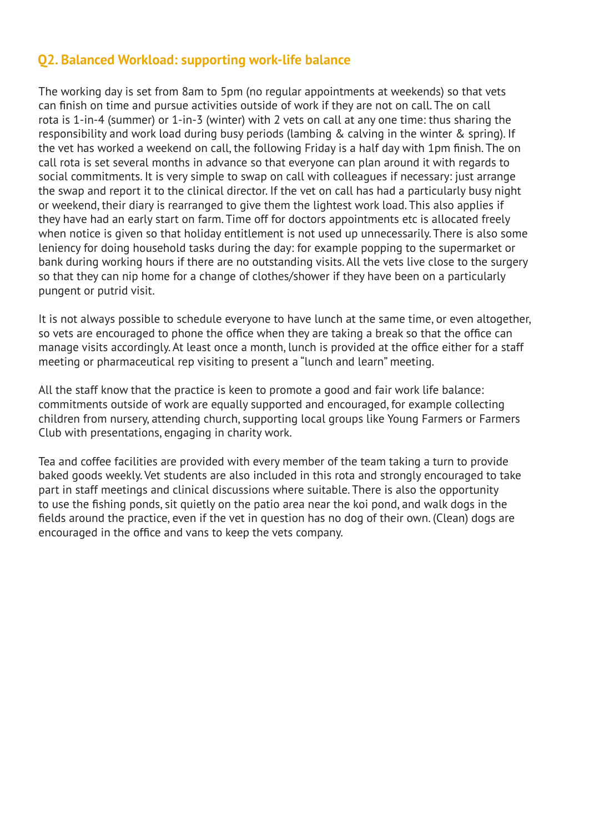#### **Q2. Balanced Workload: supporting work-life balance**

The working day is set from 8am to 5pm (no regular appointments at weekends) so that vets can finish on time and pursue activities outside of work if they are not on call. The on call rota is 1-in-4 (summer) or 1-in-3 (winter) with 2 vets on call at any one time: thus sharing the responsibility and work load during busy periods (lambing & calving in the winter & spring). If the vet has worked a weekend on call, the following Friday is a half day with 1pm finish. The on call rota is set several months in advance so that everyone can plan around it with regards to social commitments. It is very simple to swap on call with colleagues if necessary: just arrange the swap and report it to the clinical director. If the vet on call has had a particularly busy night or weekend, their diary is rearranged to give them the lightest work load. This also applies if they have had an early start on farm. Time off for doctors appointments etc is allocated freely when notice is given so that holiday entitlement is not used up unnecessarily. There is also some leniency for doing household tasks during the day: for example popping to the supermarket or bank during working hours if there are no outstanding visits. All the vets live close to the surgery so that they can nip home for a change of clothes/shower if they have been on a particularly pungent or putrid visit.

It is not always possible to schedule everyone to have lunch at the same time, or even altogether, so vets are encouraged to phone the office when they are taking a break so that the office can manage visits accordingly. At least once a month, lunch is provided at the office either for a staff meeting or pharmaceutical rep visiting to present a "lunch and learn" meeting.

All the staff know that the practice is keen to promote a good and fair work life balance: commitments outside of work are equally supported and encouraged, for example collecting children from nursery, attending church, supporting local groups like Young Farmers or Farmers Club with presentations, engaging in charity work.

Tea and coffee facilities are provided with every member of the team taking a turn to provide baked goods weekly. Vet students are also included in this rota and strongly encouraged to take part in staff meetings and clinical discussions where suitable. There is also the opportunity to use the fishing ponds, sit quietly on the patio area near the koi pond, and walk dogs in the fields around the practice, even if the vet in question has no dog of their own. (Clean) dogs are encouraged in the office and vans to keep the vets company.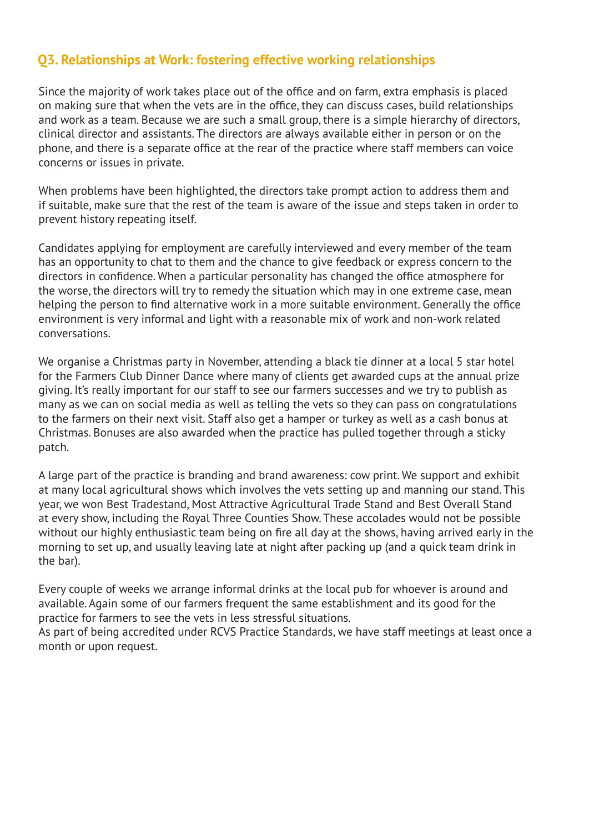### **Q3. Relationships at Work: fostering effective working relationships**

Since the majority of work takes place out of the office and on farm, extra emphasis is placed on making sure that when the vets are in the office, they can discuss cases, build relationships and work as a team. Because we are such a small group, there is a simple hierarchy of directors, clinical director and assistants. The directors are always available either in person or on the phone, and there is a separate office at the rear of the practice where staff members can voice concerns or issues in private.

When problems have been highlighted, the directors take prompt action to address them and if suitable, make sure that the rest of the team is aware of the issue and steps taken in order to prevent history repeating itself.

Candidates applying for employment are carefully interviewed and every member of the team has an opportunity to chat to them and the chance to give feedback or express concern to the directors in confidence. When a particular personality has changed the office atmosphere for the worse, the directors will try to remedy the situation which may in one extreme case, mean helping the person to find alternative work in a more suitable environment. Generally the office environment is very informal and light with a reasonable mix of work and non-work related conversations.

We organise a Christmas party in November, attending a black tie dinner at a local 5 star hotel for the Farmers Club Dinner Dance where many of clients get awarded cups at the annual prize giving. It's really important for our staff to see our farmers successes and we try to publish as many as we can on social media as well as telling the vets so they can pass on congratulations to the farmers on their next visit. Staff also get a hamper or turkey as well as a cash bonus at Christmas. Bonuses are also awarded when the practice has pulled together through a sticky patch.

A large part of the practice is branding and brand awareness: cow print. We support and exhibit at many local agricultural shows which involves the vets setting up and manning our stand. This year, we won Best Tradestand, Most Attractive Agricultural Trade Stand and Best Overall Stand at every show, including the Royal Three Counties Show. These accolades would not be possible without our highly enthusiastic team being on fire all day at the shows, having arrived early in the morning to set up, and usually leaving late at night after packing up (and a quick team drink in the bar).

Every couple of weeks we arrange informal drinks at the local pub for whoever is around and available. Again some of our farmers frequent the same establishment and its good for the practice for farmers to see the vets in less stressful situations.

As part of being accredited under RCVS Practice Standards, we have staff meetings at least once a month or upon request.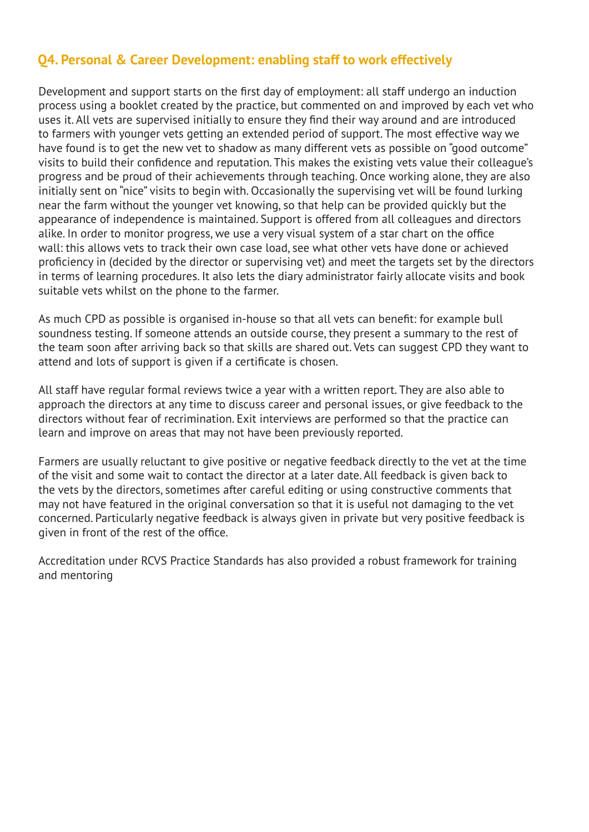## **Q4. Personal & Career Development: enabling staff to work effectively**

Development and support starts on the first day of employment: all staff undergo an induction process using a booklet created by the practice, but commented on and improved by each vet who uses it. All vets are supervised initially to ensure they find their way around and are introduced to farmers with younger vets getting an extended period of support. The most effective way we have found is to get the new vet to shadow as many different vets as possible on "good outcome" visits to build their confidence and reputation. This makes the existing vets value their colleague's progress and be proud of their achievements through teaching. Once working alone, they are also initially sent on "nice" visits to begin with. Occasionally the supervising vet will be found lurking near the farm without the younger vet knowing, so that help can be provided quickly but the appearance of independence is maintained. Support is offered from all colleagues and directors alike. In order to monitor progress, we use a very visual system of a star chart on the office wall: this allows vets to track their own case load, see what other vets have done or achieved proficiency in (decided by the director or supervising vet) and meet the targets set by the directors in terms of learning procedures. It also lets the diary administrator fairly allocate visits and book suitable vets whilst on the phone to the farmer.

As much CPD as possible is organised in-house so that all vets can benefit: for example bull soundness testing. If someone attends an outside course, they present a summary to the rest of the team soon after arriving back so that skills are shared out. Vets can suggest CPD they want to attend and lots of support is given if a certificate is chosen.

All staff have regular formal reviews twice a year with a written report. They are also able to approach the directors at any time to discuss career and personal issues, or give feedback to the directors without fear of recrimination. Exit interviews are performed so that the practice can learn and improve on areas that may not have been previously reported.

Farmers are usually reluctant to give positive or negative feedback directly to the vet at the time of the visit and some wait to contact the director at a later date. All feedback is given back to the vets by the directors, sometimes after careful editing or using constructive comments that may not have featured in the original conversation so that it is useful not damaging to the vet concerned. Particularly negative feedback is always given in private but very positive feedback is given in front of the rest of the office.

Accreditation under RCVS Practice Standards has also provided a robust framework for training and mentoring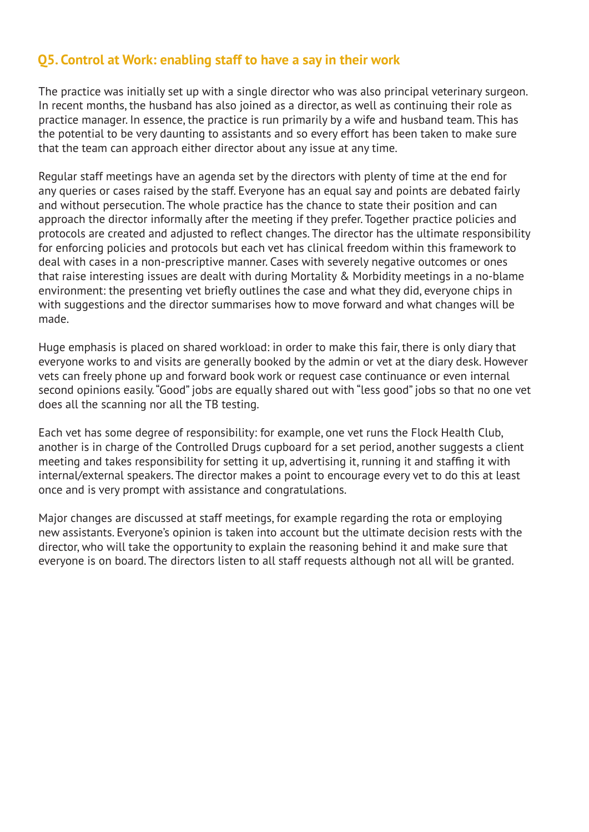#### **Q5. Control at Work: enabling staff to have a say in their work**

The practice was initially set up with a single director who was also principal veterinary surgeon. In recent months, the husband has also joined as a director, as well as continuing their role as practice manager. In essence, the practice is run primarily by a wife and husband team. This has the potential to be very daunting to assistants and so every effort has been taken to make sure that the team can approach either director about any issue at any time.

Regular staff meetings have an agenda set by the directors with plenty of time at the end for any queries or cases raised by the staff. Everyone has an equal say and points are debated fairly and without persecution. The whole practice has the chance to state their position and can approach the director informally after the meeting if they prefer. Together practice policies and protocols are created and adjusted to reflect changes. The director has the ultimate responsibility for enforcing policies and protocols but each vet has clinical freedom within this framework to deal with cases in a non-prescriptive manner. Cases with severely negative outcomes or ones that raise interesting issues are dealt with during Mortality & Morbidity meetings in a no-blame environment: the presenting vet briefly outlines the case and what they did, everyone chips in with suggestions and the director summarises how to move forward and what changes will be made.

Huge emphasis is placed on shared workload: in order to make this fair, there is only diary that everyone works to and visits are generally booked by the admin or vet at the diary desk. However vets can freely phone up and forward book work or request case continuance or even internal second opinions easily. "Good" jobs are equally shared out with "less good" jobs so that no one vet does all the scanning nor all the TB testing.

Each vet has some degree of responsibility: for example, one vet runs the Flock Health Club, another is in charge of the Controlled Drugs cupboard for a set period, another suggests a client meeting and takes responsibility for setting it up, advertising it, running it and staffing it with internal/external speakers. The director makes a point to encourage every vet to do this at least once and is very prompt with assistance and congratulations.

Major changes are discussed at staff meetings, for example regarding the rota or employing new assistants. Everyone's opinion is taken into account but the ultimate decision rests with the director, who will take the opportunity to explain the reasoning behind it and make sure that everyone is on board. The directors listen to all staff requests although not all will be granted.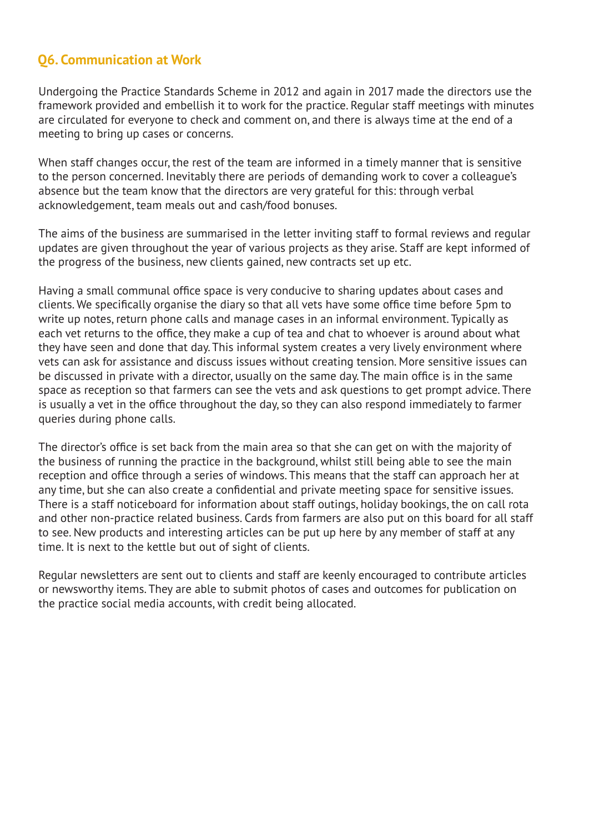## **Q6. Communication at Work**

Undergoing the Practice Standards Scheme in 2012 and again in 2017 made the directors use the framework provided and embellish it to work for the practice. Regular staff meetings with minutes are circulated for everyone to check and comment on, and there is always time at the end of a meeting to bring up cases or concerns.

When staff changes occur, the rest of the team are informed in a timely manner that is sensitive to the person concerned. Inevitably there are periods of demanding work to cover a colleague's absence but the team know that the directors are very grateful for this: through verbal acknowledgement, team meals out and cash/food bonuses.

The aims of the business are summarised in the letter inviting staff to formal reviews and regular updates are given throughout the year of various projects as they arise. Staff are kept informed of the progress of the business, new clients gained, new contracts set up etc.

Having a small communal office space is very conducive to sharing updates about cases and clients. We specifically organise the diary so that all vets have some office time before 5pm to write up notes, return phone calls and manage cases in an informal environment. Typically as each vet returns to the office, they make a cup of tea and chat to whoever is around about what they have seen and done that day. This informal system creates a very lively environment where vets can ask for assistance and discuss issues without creating tension. More sensitive issues can be discussed in private with a director, usually on the same day. The main office is in the same space as reception so that farmers can see the vets and ask questions to get prompt advice. There is usually a vet in the office throughout the day, so they can also respond immediately to farmer queries during phone calls.

The director's office is set back from the main area so that she can get on with the majority of the business of running the practice in the background, whilst still being able to see the main reception and office through a series of windows. This means that the staff can approach her at any time, but she can also create a confidential and private meeting space for sensitive issues. There is a staff noticeboard for information about staff outings, holiday bookings, the on call rota and other non-practice related business. Cards from farmers are also put on this board for all staff to see. New products and interesting articles can be put up here by any member of staff at any time. It is next to the kettle but out of sight of clients.

Regular newsletters are sent out to clients and staff are keenly encouraged to contribute articles or newsworthy items. They are able to submit photos of cases and outcomes for publication on the practice social media accounts, with credit being allocated.